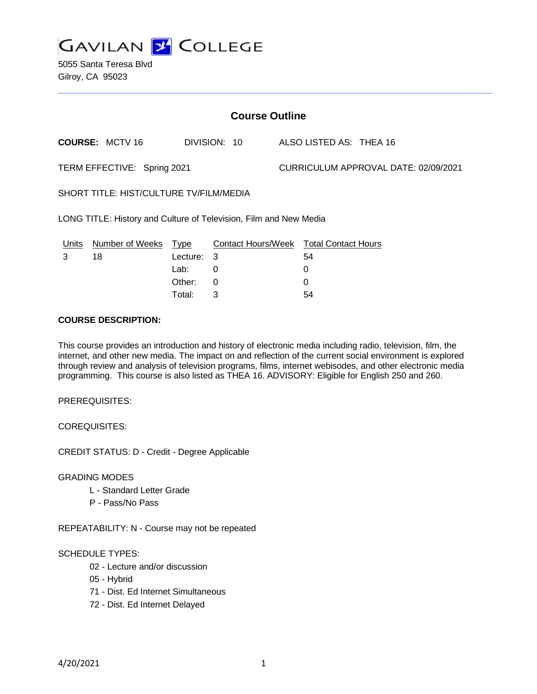

5055 Santa Teresa Blvd Gilroy, CA 95023

| <b>Course Outline</b>                                             |                        |            |                                               |  |                                      |  |  |
|-------------------------------------------------------------------|------------------------|------------|-----------------------------------------------|--|--------------------------------------|--|--|
|                                                                   | <b>COURSE: MCTV 16</b> |            | DIVISION: 10                                  |  | ALSO LISTED AS: THEA 16              |  |  |
| TERM EFFECTIVE: Spring 2021                                       |                        |            |                                               |  | CURRICULUM APPROVAL DATE: 02/09/2021 |  |  |
| SHORT TITLE: HIST/CULTURE TV/FILM/MEDIA                           |                        |            |                                               |  |                                      |  |  |
| LONG TITLE: History and Culture of Television, Film and New Media |                        |            |                                               |  |                                      |  |  |
| <u>Units</u>                                                      | Number of Weeks Type   |            | <b>Contact Hours/Week Total Contact Hours</b> |  |                                      |  |  |
| 3                                                                 | 18                     | Lecture: 3 |                                               |  | 54                                   |  |  |
|                                                                   |                        | Lab:       | 0                                             |  | 0                                    |  |  |
|                                                                   |                        | Other:     | 0                                             |  | 0                                    |  |  |

#### **COURSE DESCRIPTION:**

This course provides an introduction and history of electronic media including radio, television, film, the internet, and other new media. The impact on and reflection of the current social environment is explored through review and analysis of television programs, films, internet webisodes, and other electronic media programming. This course is also listed as THEA 16. ADVISORY: Eligible for English 250 and 260.

Total: 3 54

PREREQUISITES:

COREQUISITES:

CREDIT STATUS: D - Credit - Degree Applicable

GRADING MODES

- L Standard Letter Grade
- P Pass/No Pass

REPEATABILITY: N - Course may not be repeated

#### SCHEDULE TYPES:

- 02 Lecture and/or discussion
- 05 Hybrid
- 71 Dist. Ed Internet Simultaneous
- 72 Dist. Ed Internet Delayed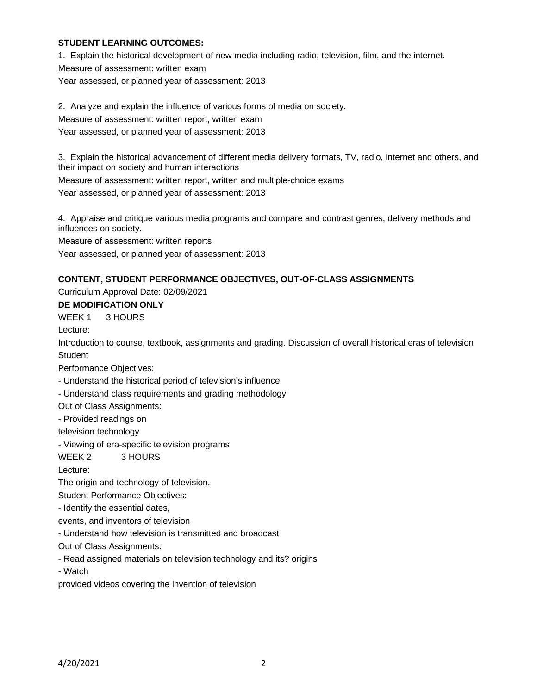#### **STUDENT LEARNING OUTCOMES:**

1. Explain the historical development of new media including radio, television, film, and the internet. Measure of assessment: written exam Year assessed, or planned year of assessment: 2013

2. Analyze and explain the influence of various forms of media on society. Measure of assessment: written report, written exam Year assessed, or planned year of assessment: 2013

3. Explain the historical advancement of different media delivery formats, TV, radio, internet and others, and their impact on society and human interactions Measure of assessment: written report, written and multiple-choice exams Year assessed, or planned year of assessment: 2013

4. Appraise and critique various media programs and compare and contrast genres, delivery methods and influences on society.

Measure of assessment: written reports

Year assessed, or planned year of assessment: 2013

# **CONTENT, STUDENT PERFORMANCE OBJECTIVES, OUT-OF-CLASS ASSIGNMENTS**

Curriculum Approval Date: 02/09/2021

# **DE MODIFICATION ONLY**

WEEK 1 3 HOURS

Lecture:

Introduction to course, textbook, assignments and grading. Discussion of overall historical eras of television **Student** 

Performance Objectives:

- Understand the historical period of television's influence
- Understand class requirements and grading methodology

Out of Class Assignments:

- Provided readings on

television technology

- Viewing of era-specific television programs

WEEK 2 3 HOURS

Lecture:

The origin and technology of television.

Student Performance Objectives:

- Identify the essential dates,

events, and inventors of television

- Understand how television is transmitted and broadcast

Out of Class Assignments:

- Read assigned materials on television technology and its? origins

- Watch

provided videos covering the invention of television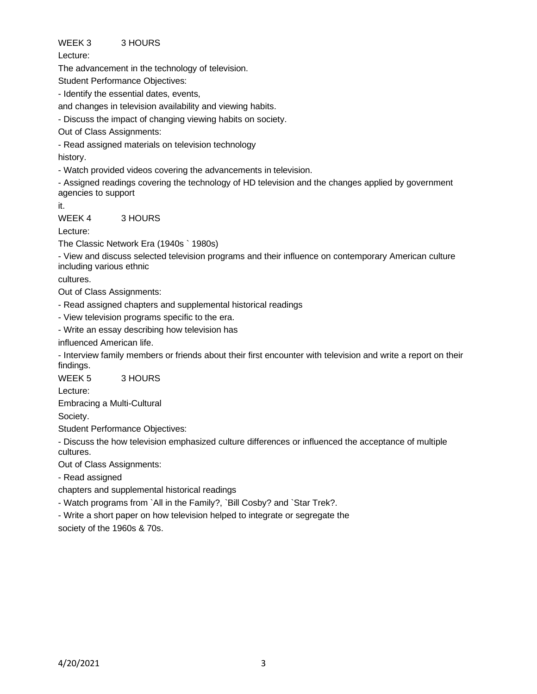# WEEK 3 3 HOURS

Lecture:

The advancement in the technology of television.

Student Performance Objectives:

- Identify the essential dates, events,

and changes in television availability and viewing habits.

- Discuss the impact of changing viewing habits on society.

Out of Class Assignments:

- Read assigned materials on television technology

history.

- Watch provided videos covering the advancements in television.

- Assigned readings covering the technology of HD television and the changes applied by government agencies to support

it.

WEEK 4 3 HOURS

Lecture:

The Classic Network Era (1940s ` 1980s)

- View and discuss selected television programs and their influence on contemporary American culture including various ethnic

cultures.

Out of Class Assignments:

- Read assigned chapters and supplemental historical readings

- View television programs specific to the era.

- Write an essay describing how television has

influenced American life.

- Interview family members or friends about their first encounter with television and write a report on their findings.

WEEK 5 3 HOURS

Lecture:

Embracing a Multi-Cultural

Society.

Student Performance Objectives:

- Discuss the how television emphasized culture differences or influenced the acceptance of multiple cultures.

Out of Class Assignments:

- Read assigned

chapters and supplemental historical readings

- Watch programs from `All in the Family?, `Bill Cosby? and `Star Trek?.

- Write a short paper on how television helped to integrate or segregate the

society of the 1960s & 70s.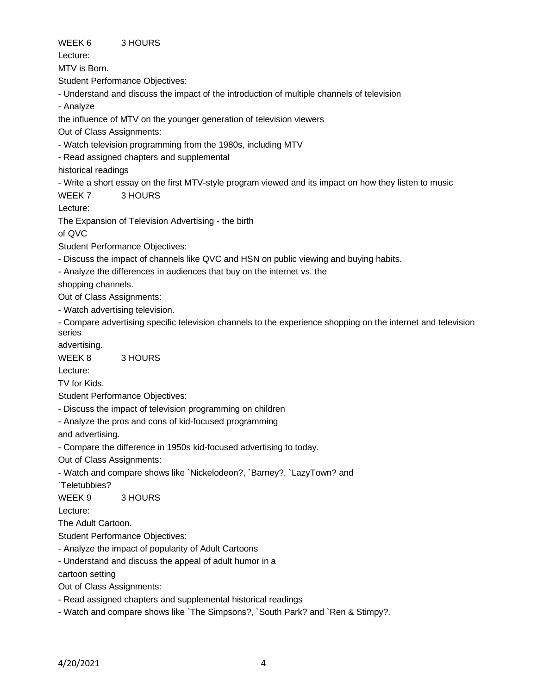WEEK 6 3 HOURS

Lecture:

MTV is Born.

Student Performance Objectives:

- Understand and discuss the impact of the introduction of multiple channels of television

- Analyze

the influence of MTV on the younger generation of television viewers

Out of Class Assignments:

- Watch television programming from the 1980s, including MTV

- Read assigned chapters and supplemental

historical readings

- Write a short essay on the first MTV-style program viewed and its impact on how they listen to music

WEEK 7 3 HOURS

Lecture:

The Expansion of Television Advertising - the birth

of QVC

Student Performance Objectives:

- Discuss the impact of channels like QVC and HSN on public viewing and buying habits.

- Analyze the differences in audiences that buy on the internet vs. the

shopping channels.

Out of Class Assignments:

- Watch advertising television.

- Compare advertising specific television channels to the experience shopping on the internet and television series

advertising.

WEEK 8 3 HOURS

Lecture:

TV for Kids.

Student Performance Objectives:

- Discuss the impact of television programming on children

- Analyze the pros and cons of kid-focused programming

and advertising.

- Compare the difference in 1950s kid-focused advertising to today.

Out of Class Assignments:

- Watch and compare shows like `Nickelodeon?, `Barney?, `LazyTown? and

`Teletubbies?

WEEK 9 3 HOURS

Lecture:

The Adult Cartoon.

Student Performance Objectives:

- Analyze the impact of popularity of Adult Cartoons

- Understand and discuss the appeal of adult humor in a

cartoon setting

Out of Class Assignments:

- Read assigned chapters and supplemental historical readings

- Watch and compare shows like `The Simpsons?, `South Park? and `Ren & Stimpy?.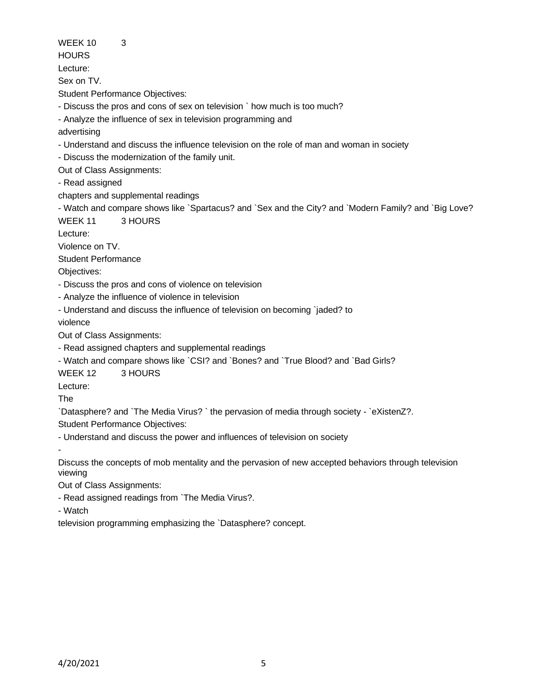WEEK 10 3

**HOURS** 

Lecture:

Sex on TV.

Student Performance Objectives:

- Discuss the pros and cons of sex on television ` how much is too much?

- Analyze the influence of sex in television programming and

advertising

- Understand and discuss the influence television on the role of man and woman in society

- Discuss the modernization of the family unit.

Out of Class Assignments:

- Read assigned

chapters and supplemental readings

- Watch and compare shows like `Spartacus? and `Sex and the City? and `Modern Family? and `Big Love?

WEEK 11 3 HOURS

Lecture:

Violence on TV.

Student Performance

Objectives:

- Discuss the pros and cons of violence on television

- Analyze the influence of violence in television

- Understand and discuss the influence of television on becoming `jaded? to

violence

Out of Class Assignments:

- Read assigned chapters and supplemental readings

- Watch and compare shows like `CSI? and `Bones? and `True Blood? and `Bad Girls?

WEEK 12 3 HOURS

Lecture:

The

`Datasphere? and `The Media Virus? ` the pervasion of media through society - `eXistenZ?.

Student Performance Objectives:

- Understand and discuss the power and influences of television on society

-

Discuss the concepts of mob mentality and the pervasion of new accepted behaviors through television viewing

Out of Class Assignments:

- Read assigned readings from `The Media Virus?.

- Watch

television programming emphasizing the `Datasphere? concept.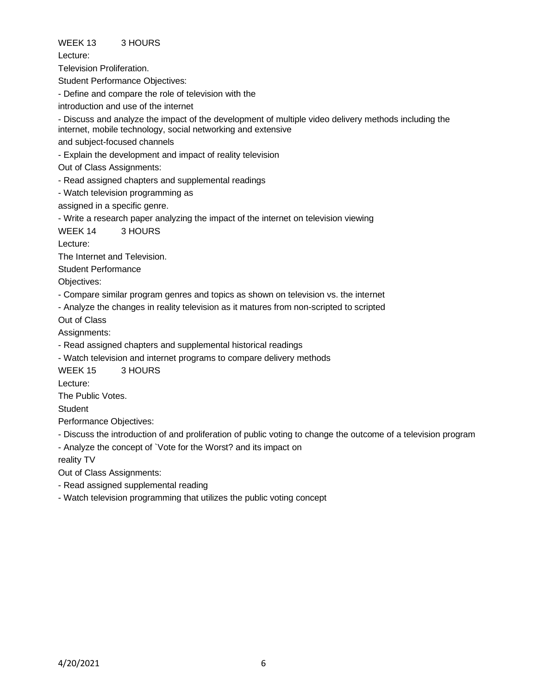#### WEEK 13 3 HOURS

Lecture:

Television Proliferation.

Student Performance Objectives:

- Define and compare the role of television with the

introduction and use of the internet

- Discuss and analyze the impact of the development of multiple video delivery methods including the internet, mobile technology, social networking and extensive

and subject-focused channels

- Explain the development and impact of reality television

Out of Class Assignments:

- Read assigned chapters and supplemental readings

- Watch television programming as

assigned in a specific genre.

- Write a research paper analyzing the impact of the internet on television viewing

WEEK 14 3 HOURS

Lecture:

The Internet and Television.

Student Performance

Objectives:

- Compare similar program genres and topics as shown on television vs. the internet

- Analyze the changes in reality television as it matures from non-scripted to scripted

Out of Class

Assignments:

- Read assigned chapters and supplemental historical readings

- Watch television and internet programs to compare delivery methods

WEEK 15 3 HOURS

Lecture:

The Public Votes.

**Student** 

Performance Objectives:

- Discuss the introduction of and proliferation of public voting to change the outcome of a television program

- Analyze the concept of `Vote for the Worst? and its impact on

reality TV

Out of Class Assignments:

- Read assigned supplemental reading

- Watch television programming that utilizes the public voting concept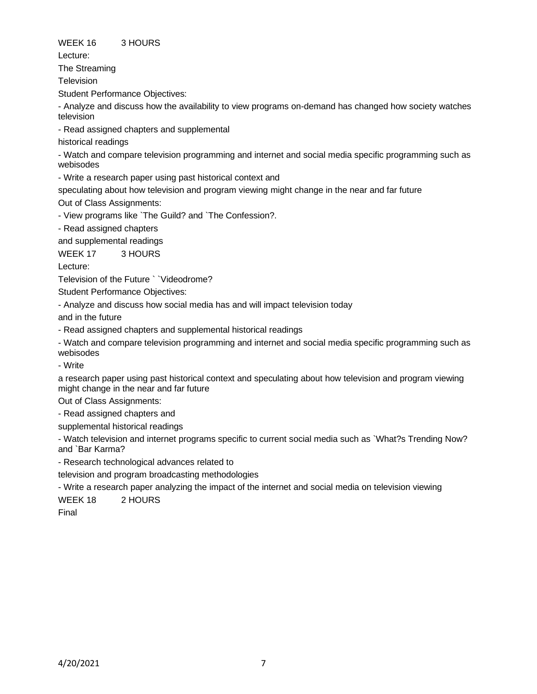WEEK 16 3 HOURS

Lecture:

The Streaming

**Television** 

Student Performance Objectives:

- Analyze and discuss how the availability to view programs on-demand has changed how society watches television

- Read assigned chapters and supplemental

historical readings

- Watch and compare television programming and internet and social media specific programming such as webisodes

- Write a research paper using past historical context and

speculating about how television and program viewing might change in the near and far future Out of Class Assignments:

- View programs like `The Guild? and `The Confession?.

- Read assigned chapters

and supplemental readings

WEEK 17 3 HOURS

Lecture:

Television of the Future ` `Videodrome?

Student Performance Objectives:

- Analyze and discuss how social media has and will impact television today

and in the future

- Read assigned chapters and supplemental historical readings

- Watch and compare television programming and internet and social media specific programming such as webisodes

- Write

a research paper using past historical context and speculating about how television and program viewing might change in the near and far future

Out of Class Assignments:

- Read assigned chapters and

supplemental historical readings

- Watch television and internet programs specific to current social media such as `What?s Trending Now? and `Bar Karma?

- Research technological advances related to

television and program broadcasting methodologies

- Write a research paper analyzing the impact of the internet and social media on television viewing

WEEK 18 2 HOURS

Final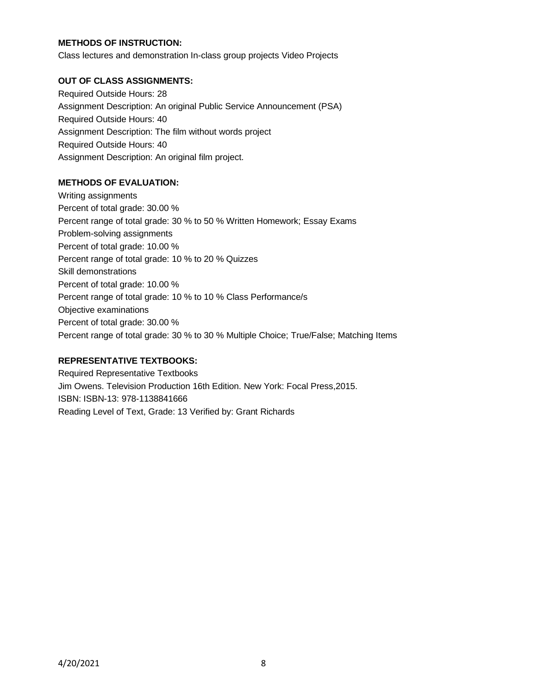#### **METHODS OF INSTRUCTION:**

Class lectures and demonstration In-class group projects Video Projects

#### **OUT OF CLASS ASSIGNMENTS:**

Required Outside Hours: 28 Assignment Description: An original Public Service Announcement (PSA) Required Outside Hours: 40 Assignment Description: The film without words project Required Outside Hours: 40 Assignment Description: An original film project.

### **METHODS OF EVALUATION:**

Writing assignments Percent of total grade: 30.00 % Percent range of total grade: 30 % to 50 % Written Homework; Essay Exams Problem-solving assignments Percent of total grade: 10.00 % Percent range of total grade: 10 % to 20 % Quizzes Skill demonstrations Percent of total grade: 10.00 % Percent range of total grade: 10 % to 10 % Class Performance/s Objective examinations Percent of total grade: 30.00 % Percent range of total grade: 30 % to 30 % Multiple Choice; True/False; Matching Items

#### **REPRESENTATIVE TEXTBOOKS:**

Required Representative Textbooks Jim Owens. Television Production 16th Edition. New York: Focal Press,2015. ISBN: ISBN-13: 978-1138841666 Reading Level of Text, Grade: 13 Verified by: Grant Richards